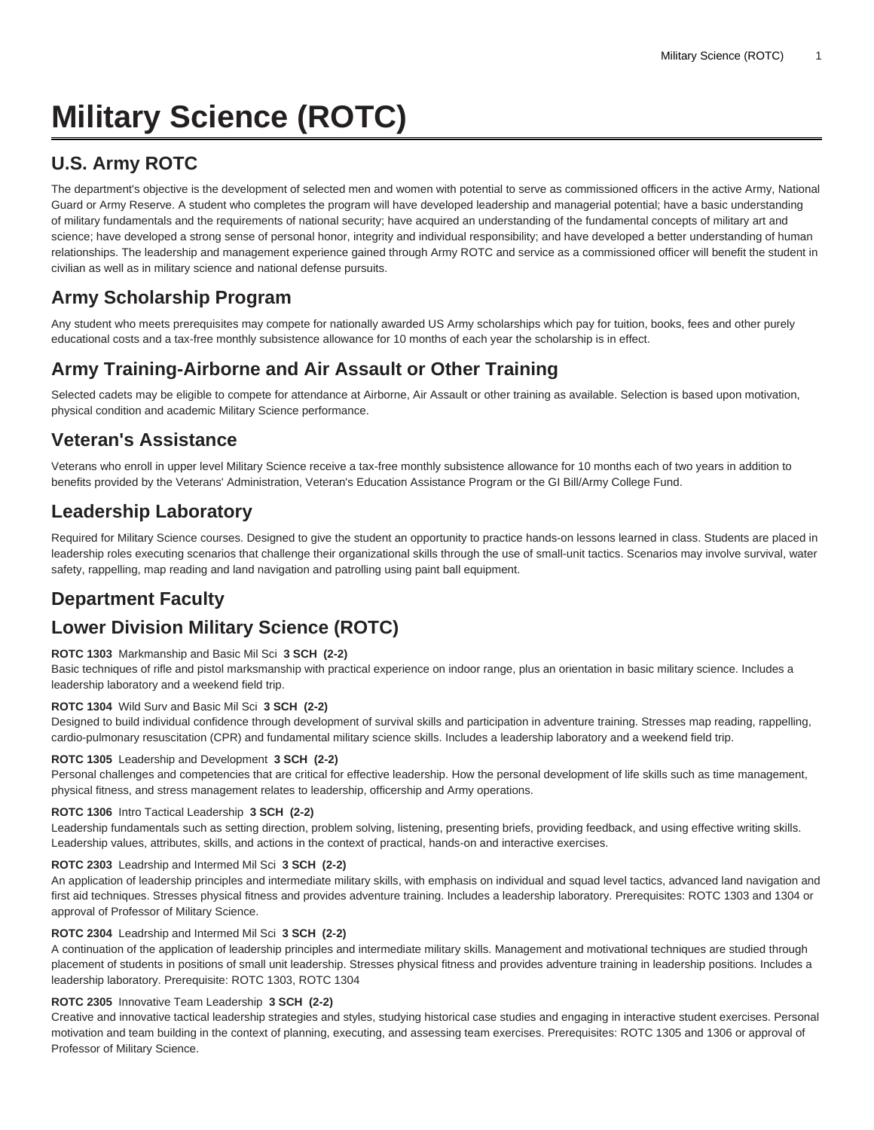# **Military Science (ROTC)**

# **U.S. Army ROTC**

The department's objective is the development of selected men and women with potential to serve as commissioned officers in the active Army, National Guard or Army Reserve. A student who completes the program will have developed leadership and managerial potential; have a basic understanding of military fundamentals and the requirements of national security; have acquired an understanding of the fundamental concepts of military art and science; have developed a strong sense of personal honor, integrity and individual responsibility; and have developed a better understanding of human relationships. The leadership and management experience gained through Army ROTC and service as a commissioned officer will benefit the student in civilian as well as in military science and national defense pursuits.

# **Army Scholarship Program**

Any student who meets prerequisites may compete for nationally awarded US Army scholarships which pay for tuition, books, fees and other purely educational costs and a tax-free monthly subsistence allowance for 10 months of each year the scholarship is in effect.

# **Army Training-Airborne and Air Assault or Other Training**

Selected cadets may be eligible to compete for attendance at Airborne, Air Assault or other training as available. Selection is based upon motivation, physical condition and academic Military Science performance.

# **Veteran's Assistance**

Veterans who enroll in upper level Military Science receive a tax-free monthly subsistence allowance for 10 months each of two years in addition to benefits provided by the Veterans' Administration, Veteran's Education Assistance Program or the GI Bill/Army College Fund.

# **Leadership Laboratory**

Required for Military Science courses. Designed to give the student an opportunity to practice hands-on lessons learned in class. Students are placed in leadership roles executing scenarios that challenge their organizational skills through the use of small-unit tactics. Scenarios may involve survival, water safety, rappelling, map reading and land navigation and patrolling using paint ball equipment.

# **Department Faculty**

# **Lower Division Military Science (ROTC)**

# **ROTC 1303** Markmanship and Basic Mil Sci **3 SCH (2-2)**

Basic techniques of rifle and pistol marksmanship with practical experience on indoor range, plus an orientation in basic military science. Includes a leadership laboratory and a weekend field trip.

### **ROTC 1304** Wild Surv and Basic Mil Sci **3 SCH (2-2)**

Designed to build individual confidence through development of survival skills and participation in adventure training. Stresses map reading, rappelling, cardio-pulmonary resuscitation (CPR) and fundamental military science skills. Includes a leadership laboratory and a weekend field trip.

### **ROTC 1305** Leadership and Development **3 SCH (2-2)**

Personal challenges and competencies that are critical for effective leadership. How the personal development of life skills such as time management, physical fitness, and stress management relates to leadership, officership and Army operations.

### **ROTC 1306** Intro Tactical Leadership **3 SCH (2-2)**

Leadership fundamentals such as setting direction, problem solving, listening, presenting briefs, providing feedback, and using effective writing skills. Leadership values, attributes, skills, and actions in the context of practical, hands-on and interactive exercises.

### **ROTC 2303** Leadrship and Intermed Mil Sci **3 SCH (2-2)**

An application of leadership principles and intermediate military skills, with emphasis on individual and squad level tactics, advanced land navigation and first aid techniques. Stresses physical fitness and provides adventure training. Includes a leadership laboratory. Prerequisites: ROTC 1303 and 1304 or approval of Professor of Military Science.

### **ROTC 2304** Leadrship and Intermed Mil Sci **3 SCH (2-2)**

A continuation of the application of leadership principles and intermediate military skills. Management and motivational techniques are studied through placement of students in positions of small unit leadership. Stresses physical fitness and provides adventure training in leadership positions. Includes a leadership laboratory. Prerequisite: ROTC 1303, ROTC 1304

### **ROTC 2305** Innovative Team Leadership **3 SCH (2-2)**

Creative and innovative tactical leadership strategies and styles, studying historical case studies and engaging in interactive student exercises. Personal motivation and team building in the context of planning, executing, and assessing team exercises. Prerequisites: ROTC 1305 and 1306 or approval of Professor of Military Science.